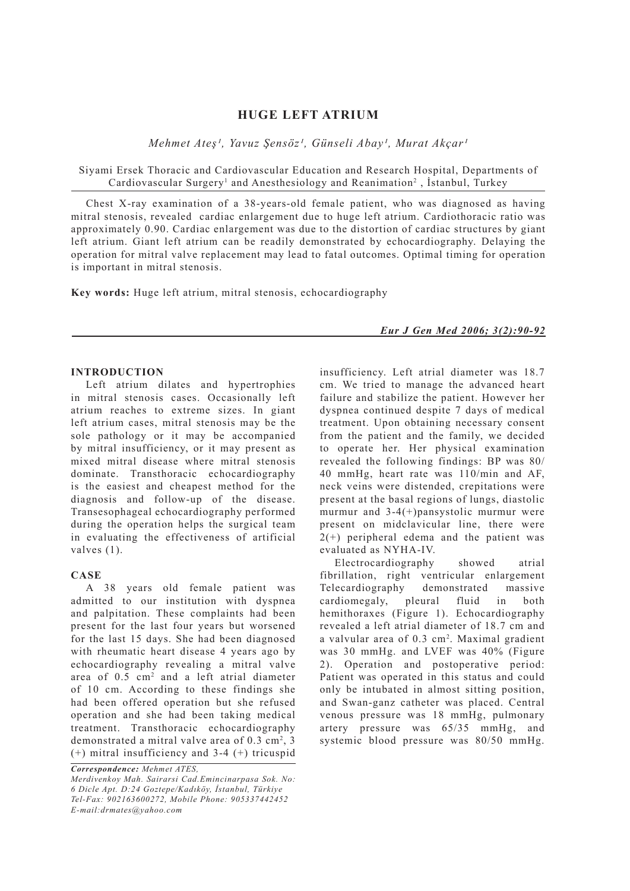# **HUGE LEFT ATRIUM**

*Mehmet Ates<sup>1</sup>*, Yavuz Şensöz<sup>1</sup>, Günseli Abay<sup>1</sup>, Murat Akçar<sup>1</sup>

Siyami Ersek Thoracic and Cardiovascular Education and Research Hospital, Departments of Cardiovascular Surgery<sup>1</sup> and Anesthesiology and Reanimation<sup>2</sup>, İstanbul, Turkey

Chest X-ray examination of a 38-years-old female patient, who was diagnosed as having mitral stenosis, revealed cardiac enlargement due to huge left atrium. Cardiothoracic ratio was approximately 0.90. Cardiac enlargement was due to the distortion of cardiac structures by giant left atrium. Giant left atrium can be readily demonstrated by echocardiography. Delaying the operation for mitral valve replacement may lead to fatal outcomes. Optimal timing for operation is important in mitral stenosis.

**Key words:** Huge left atrium, mitral stenosis, echocardiography

### **INTRODUCTION**

Left atrium dilates and hypertrophies in mitral stenosis cases. Occasionally left atrium reaches to extreme sizes. In giant left atrium cases, mitral stenosis may be the sole pathology or it may be accompanied by mitral insufficiency, or it may present as mixed mitral disease where mitral stenosis dominate. Transthoracic echocardiography is the easiest and cheapest method for the diagnosis and follow-up of the disease. Transesophageal echocardiography performed during the operation helps the surgical team in evaluating the effectiveness of artificial valves (1).

### **CASE**

A 38 years old female patient was admitted to our institution with dyspnea and palpitation. These complaints had been present for the last four years but worsened for the last 15 days. She had been diagnosed with rheumatic heart disease 4 years ago by echocardiography revealing a mitral valve area of  $0.5 \text{ cm}^2$  and a left atrial diameter of 10 cm. According to these findings she had been offered operation but she refused operation and she had been taking medical treatment. Transthoracic echocardiography demonstrated a mitral valve area of  $0.3 \text{ cm}^2$ ,  $3$ (+) mitral insufficiency and 3-4 (+) tricuspid

*Correspondence: Mehmet ATES,*

*Eur J Gen Med 2006; 3(2):90-92*

insufficiency. Left atrial diameter was 18.7 cm. We tried to manage the advanced heart failure and stabilize the patient. However her dyspnea continued despite 7 days of medical treatment. Upon obtaining necessary consent from the patient and the family, we decided to operate her. Her physical examination revealed the following findings: BP was 80/ 40 mmHg, heart rate was 110/min and AF, neck veins were distended, crepitations were present at the basal regions of lungs, diastolic murmur and 3-4(+)pansystolic murmur were present on midclavicular line, there were  $2(+)$  peripheral edema and the patient was evaluated as NYHA-IV.

Electrocardiography showed atrial fibrillation, right ventricular enlargement Telecardiography demonstrated massive cardiomegaly, pleural fluid in both hemithoraxes (Figure 1). Echocardiography revealed a left atrial diameter of 18.7 cm and a valvular area of 0.3 cm2 . Maximal gradient was 30 mmHg. and LVEF was 40% (Figure 2). Operation and postoperative period: Patient was operated in this status and could only be intubated in almost sitting position, and Swan-ganz catheter was placed. Central venous pressure was 18 mmHg, pulmonary artery pressure was 65/35 mmHg, and systemic blood pressure was 80/50 mmHg.

*Merdivenkoy Mah. Sairarsi Cad.Emincinarpasa Sok. No: 6 Dicle Apt. D:24 Goztepe/Kadıköy, İstanbul, Türkiye Tel-Fax: 902163600272, Mobile Phone: 905337442452 E-mail:drmates@yahoo.com*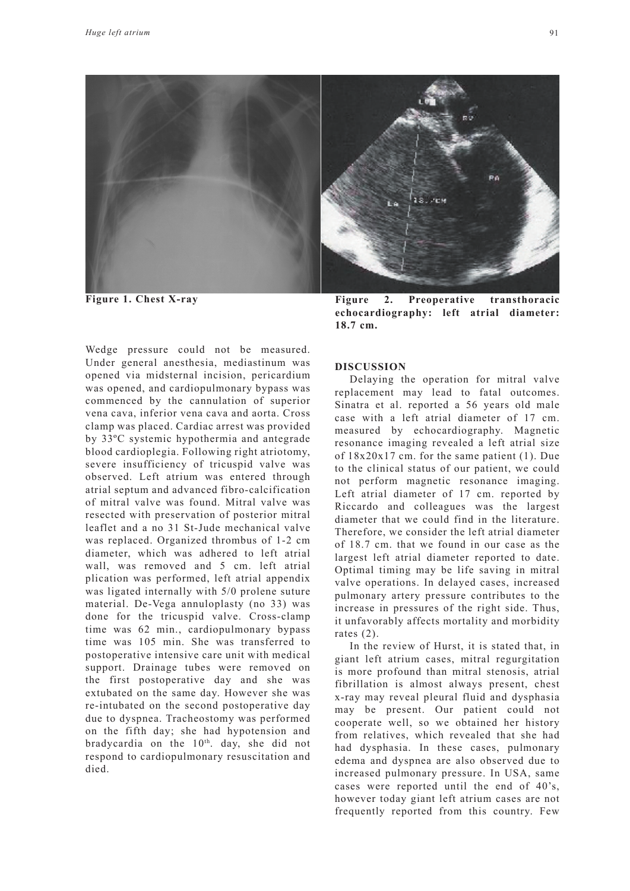

Wedge pressure could not be measured. Under general anesthesia, mediastinum was opened via midsternal incision, pericardium was opened, and cardiopulmonary bypass was commenced by the cannulation of superior vena cava, inferior vena cava and aorta. Cross clamp was placed. Cardiac arrest was provided by 33ºC systemic hypothermia and antegrade blood cardioplegia. Following right atriotomy, severe insufficiency of tricuspid valve was observed. Left atrium was entered through atrial septum and advanced fibro-calcification of mitral valve was found. Mitral valve was resected with preservation of posterior mitral leaflet and a no 31 St-Jude mechanical valve was replaced. Organized thrombus of 1-2 cm diameter, which was adhered to left atrial wall, was removed and 5 cm. left atrial plication was performed, left atrial appendix was ligated internally with 5/0 prolene suture material. De-Vega annuloplasty (no 33) was done for the tricuspid valve. Cross-clamp time was 62 min., cardiopulmonary bypass time was 105 min. She was transferred to postoperative intensive care unit with medical support. Drainage tubes were removed on the first postoperative day and she was extubated on the same day. However she was re-intubated on the second postoperative day due to dyspnea. Tracheostomy was performed on the fifth day; she had hypotension and bradycardia on the 10<sup>th</sup>. day, she did not respond to cardiopulmonary resuscitation and died.

Figure 1. Chest X-ray **Figure 2.** Preoperative transthoracic **echocardiography: left atrial diameter: 18.7 cm.**

## **DISCUSSION**

Delaying the operation for mitral valve replacement may lead to fatal outcomes. Sinatra et al. reported a 56 years old male case with a left atrial diameter of 17 cm. measured by echocardiography. Magnetic resonance imaging revealed a left atrial size of 18x20x17 cm. for the same patient (1). Due to the clinical status of our patient, we could not perform magnetic resonance imaging. Left atrial diameter of 17 cm. reported by Riccardo and colleagues was the largest diameter that we could find in the literature. Therefore, we consider the left atrial diameter of 18.7 cm. that we found in our case as the largest left atrial diameter reported to date. Optimal timing may be life saving in mitral valve operations. In delayed cases, increased pulmonary artery pressure contributes to the increase in pressures of the right side. Thus, it unfavorably affects mortality and morbidity rates (2).

In the review of Hurst, it is stated that, in giant left atrium cases, mitral regurgitation is more profound than mitral stenosis, atrial fibrillation is almost always present, chest x-ray may reveal pleural fluid and dysphasia may be present. Our patient could not cooperate well, so we obtained her history from relatives, which revealed that she had had dysphasia. In these cases, pulmonary edema and dyspnea are also observed due to increased pulmonary pressure. In USA, same cases were reported until the end of 40's, however today giant left atrium cases are not frequently reported from this country. Few